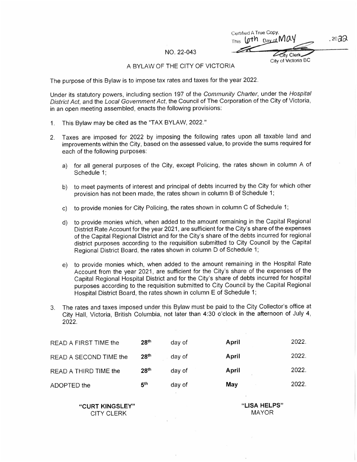Certified A True Copy, This loth Davor May ity Clerk  $.2022$ 

CIty Of VICtOrIa BC

## NO. 22-043

## A BYLAW OF THE CITY OF VICTORIA

The purpose of this Bylaw is to impose tax rates and taxes for the year 2022

Under its statutory powers, including section 197 of the Community Charter, under the Hospital District Act, and the Local Government Act. the Council of The Corporation of the City of Victoria, in an open meeting assembled, enacts the following provisions:

- 1. This Bylaw may be cited as the "TAX BYLAW, 2022."
- 2. Taxes are imposed for 2022 by imposing the following rates upon all taxable land and improvements within the City, based on the assessed value, to provide the sums required for each of the following purposes
	- a) for all general purposes of the City, except Policing, the rates shown in column A of Schedule 1
	- b) to meet payments of interest and principal of debts incurred by the City for which other provision has not been made, the rates shown in column B of Schedule 1;
	- c) to provide monies for City Policing, the rates shown in column C of Schedule 1;
	- d) to provide monies which, when added to the amount remaining in the Capital Regional District Rate Account for the year 2021, are sufficient for the City's share of the expenses of the Capital Regional District and for the City's share of the debts incurred for regional district purposes according to the requisition submitted to City Council by the Capital Regional District Board, the rates shown in column D of Schedule 1;
	- e) to provide monies which, when added to the amount remaining in the Hospital Rate Account from the year 2021, are sufficient for the City's share of the expenses of the Capital Regional Hospital District and for the City's share of debts incurred for hospital purposes according to the requisition submitted to City Council by the Capital Regional Hospital District Board, the rates shown in column E of Schedule 1;
- 3 The rates and taxes imposed under this Bytaw must be paid to the City Collector's office at City Hall, Victoria, British Columbia, not later than 4:30 o'clock in the afternoon of July 4, 2022

| READ A FIRST TIME the  | 28 <sup>th</sup> | day of | April | 2022. |
|------------------------|------------------|--------|-------|-------|
| READ A SECOND TIME the | 28 <sup>th</sup> | day of | April | 2022. |
| READ A THIRD TIME the  | 28 <sup>th</sup> | day of | April | 2022. |
| ADOPTED the            | 5 <sup>th</sup>  | day of | May   | 2022. |

"CURT KINGSLEY" CITY CLERK

"LISA HELPS" MAYOR